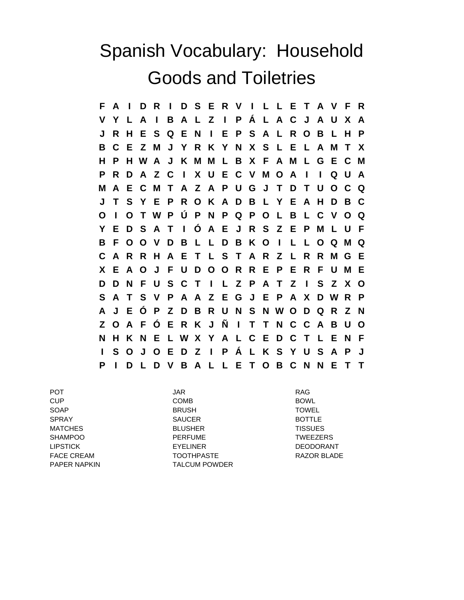## Spanish Vocabulary: Household Goods and Toiletries

**F A I D R I D S E R V I L L E T A V F R V Y L A I B A L Z I P Á L A C J A U X A J R H E S Q E N I E P S A L R O B L H P B C E Z M J Y R K Y N X S L E L A M T X H P H W A J K M M L B X F A M L G E C M P R D A Z C I X U E C V M O A I I Q U A M A E C M T A Z A P U G J T D T U O C Q J T S Y E P R O K A D B L Y E A H D B C O I O T W P Ú P N P Q P O L B L C V O Q Y E D S A T I Ó A E J R S Z E P M L U F B F O O V D B L L D B K O I L L O Q M Q C A R R H A E T L S T A R Z L R R M G E X E A O J F U D O O R R E P E R F U M E D D N F U S C T I L Z P A T Z I S Z X O S A T S V P A A Z E G J E P A X D W R P A J E Ó P Z D B R U N S N W O D Q R Z N Z O A F Ó E R K J Ñ I T T N C C A B U O N H K N E L W X Y A L C E D C T L E N F I S O J O E D Z I P Á L K S Y U S A P J P I D L D V B A L L E T O B C N N E T T**

PAPER NAPKIN TALCUM POWDER

POT JAR RAG CUP COMB BOWL SOAP BRUSH TOWEL SPRAY SAUCER BOTTLE MATCHES BLUSHER TISSUES SHAMPOO **PERFUME** PERFUME TWEEZERS LIPSTICK EYELINER DEODORANT FACE CREAM TOOTHPASTE TO RAZOR BLADE